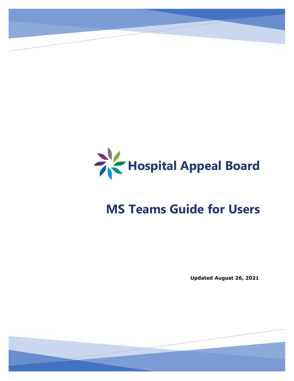

**Hospital Appeal Board**

# **MS Teams Guide for Users**

**Updated August 26, 2021**

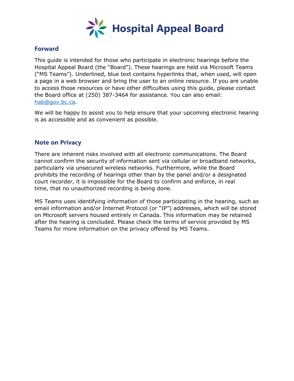

### **Forward**

This guide is intended for those who participate in electronic hearings before the Hospital Appeal Board (the "Board"). These hearings are held via Microsoft Teams ("MS Teams"). Underlined, blue text contains hyperlinks that, when used, will open a page in a web browser and bring the user to an online resource. If you are unable to access those resources or have other difficulties using this guide, please contact the Board office at (250) 387-3464 for assistance. You can also email: [hab@gov.bc.ca.](mailto:hab@gov.bc.ca)

We will be happy to assist you to help ensure that your upcoming electronic hearing is as accessible and as convenient as possible.

### **Note on Privacy**

There are inherent risks involved with all electronic communications. The Board cannot confirm the security of information sent via cellular or broadband networks, particularly via unsecured wireless networks. Furthermore, while the Board prohibits the recording of hearings other than by the panel and/or a designated court recorder, it is impossible for the Board to confirm and enforce, in real time, that no unauthorized recording is being done.

MS Teams uses identifying information of those participating in the hearing, such as email information and/or Internet Protocol (or "IP") addresses, which will be stored on Microsoft servers housed entirely in Canada. This information may be retained after the hearing is concluded. Please check the terms of service provided by MS Teams for more information on the privacy offered by MS Teams.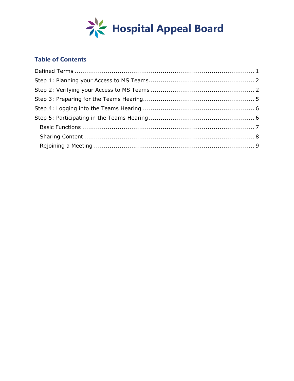

## **Table of Contents**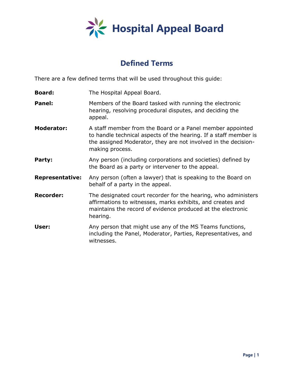

# **Defined Terms**

<span id="page-3-0"></span>There are a few defined terms that will be used throughout this guide:

- **Board:** The Hospital Appeal Board.
- **Panel:** Members of the Board tasked with running the electronic hearing, resolving procedural disputes, and deciding the appeal.
- **Moderator:** A staff member from the Board or a Panel member appointed to handle technical aspects of the hearing. If a staff member is the assigned Moderator, they are not involved in the decisionmaking process.
- **Party:** Any person (including corporations and societies) defined by the Board as a party or intervener to the appeal.
- **Representative:** Any person (often a lawyer) that is speaking to the Board on behalf of a party in the appeal.
- **Recorder:** The designated court recorder for the hearing, who administers affirmations to witnesses, marks exhibits, and creates and maintains the record of evidence produced at the electronic hearing.
- <span id="page-3-1"></span>**User:** Any person that might use any of the MS Teams functions, including the Panel, Moderator, Parties, Representatives, and witnesses.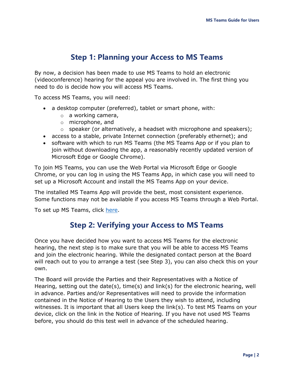# **Step 1: Planning your Access to MS Teams**

By now, a decision has been made to use MS Teams to hold an electronic (videoconference) hearing for the appeal you are involved in. The first thing you need to do is decide how you will access MS Teams.

To access MS Teams, you will need:

- a desktop computer (preferred), tablet or smart phone, with:
	- o a working camera,
	- o microphone, and
	- $\circ$  speaker (or alternatively, a headset with microphone and speakers);
- access to a stable, private Internet connection (preferably ethernet); and
- software with which to run MS Teams (the MS Teams App or if you plan to join without downloading the app, a reasonably recently updated version of Microsoft Edge or Google Chrome).

To join MS Teams, you can use the Web Portal via Microsoft Edge or Google Chrome, or you can log in using the MS Teams App, in which case you will need to set up a Microsoft Account and install the MS Teams App on your device.

The installed MS Teams App will provide the best, most consistent experience. Some functions may not be available if you access MS Teams through a Web Portal.

<span id="page-4-0"></span>To set up MS Teams, click [here.](https://www.microsoft.com/en-ca/microsoft-365/microsoft-teams/download-app#desktopAppDownloadregion)

## **Step 2: Verifying your Access to MS Teams**

Once you have decided how you want to access MS Teams for the electronic hearing, the next step is to make sure that you will be able to access MS Teams and join the electronic hearing. While the designated contact person at the Board will reach out to you to arrange a test (see Step 3), you can also check this on your own.

The Board will provide the Parties and their Representatives with a Notice of Hearing, setting out the date(s), time(s) and link(s) for the electronic hearing, well in advance. Parties and/or Representatives will need to provide the information contained in the Notice of Hearing to the Users they wish to attend, including witnesses. It is important that all Users keep the link(s). To test MS Teams on your device, click on the link in the Notice of Hearing. If you have not used MS Teams before, you should do this test well in advance of the scheduled hearing.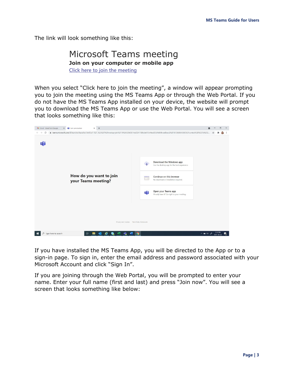The link will look something like this:

## Microsoft Teams meeting **Join on your computer or mobile app [Click here to join the meeting](https://teams.microsoft.com/l/meetup-join/19%3ameeting_ZWQzOTg2M2UtNWI5NS00Nzc3LTg0OTAtNDI0OGVlOGYyYzNk%40thread.v2/0?context=%7b%22Tid%22%3a%2208c2dc92-5410-4817-9189-94dbd6b04233%22%2c%22Oid%22%3a%22fc1d378b-3eb4-4a61-887f-7f541db433bf%22%7d)**

When you select "Click here to join the meeting", a window will appear prompting you to join the meeting using the MS Teams App or through the Web Portal. If you do not have the MS Teams App installed on your device, the website will prompt you to download the MS Teams App or use the Web Portal. You will see a screen that looks something like this:



If you have installed the MS Teams App, you will be directed to the App or to a sign-in page. To sign in, enter the email address and password associated with your Microsoft Account and click "Sign In".

If you are joining through the Web Portal, you will be prompted to enter your name. Enter your full name (first and last) and press "Join now". You will see a screen that looks something like below: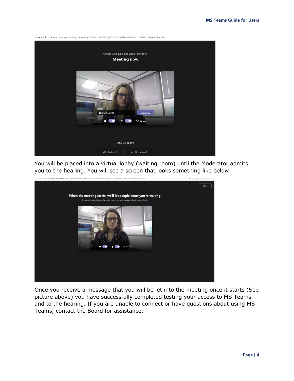

You will be placed into a virtual lobby (waiting room) until the Moderator admits you to the hearing. You will see a screen that looks something like below:



Once you receive a message that you will be let into the meeting once it starts (See picture above) you have successfully completed testing your access to MS Teams and to the hearing. If you are unable to connect or have questions about using MS Teams, contact the Board for assistance.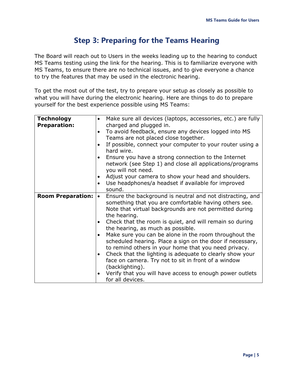## **Step 3: Preparing for the Teams Hearing**

<span id="page-7-0"></span>The Board will reach out to Users in the weeks leading up to the hearing to conduct MS Teams testing using the link for the hearing. This is to familiarize everyone with MS Teams, to ensure there are no technical issues, and to give everyone a chance to try the features that may be used in the electronic hearing.

To get the most out of the test, try to prepare your setup as closely as possible to what you will have during the electronic hearing. Here are things to do to prepare yourself for the best experience possible using MS Teams:

| <b>Technology</b><br><b>Preparation:</b> | Make sure all devices (laptops, accessories, etc.) are fully<br>charged and plugged in.<br>To avoid feedback, ensure any devices logged into MS<br>Teams are not placed close together.<br>If possible, connect your computer to your router using a<br>hard wire.<br>Ensure you have a strong connection to the Internet<br>network (see Step 1) and close all applications/programs<br>you will not need.<br>Adjust your camera to show your head and shoulders.<br>Use headphones/a headset if available for improved<br>$\bullet$<br>sound.                                                                                                                                                                            |
|------------------------------------------|----------------------------------------------------------------------------------------------------------------------------------------------------------------------------------------------------------------------------------------------------------------------------------------------------------------------------------------------------------------------------------------------------------------------------------------------------------------------------------------------------------------------------------------------------------------------------------------------------------------------------------------------------------------------------------------------------------------------------|
| <b>Room Preparation:</b>                 | Ensure the background is neutral and not distracting, and<br>$\bullet$<br>something that you are comfortable having others see.<br>Note that virtual backgrounds are not permitted during<br>the hearing.<br>Check that the room is quiet, and will remain so during<br>the hearing, as much as possible.<br>Make sure you can be alone in the room throughout the<br>scheduled hearing. Place a sign on the door if necessary,<br>to remind others in your home that you need privacy.<br>Check that the lighting is adequate to clearly show your<br>$\bullet$<br>face on camera. Try not to sit in front of a window<br>(backlighting).<br>Verify that you will have access to enough power outlets<br>for all devices. |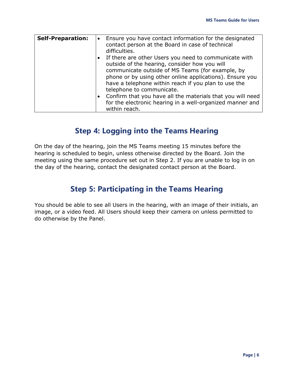| <b>Self-Preparation:</b> | • Ensure you have contact information for the designated<br>contact person at the Board in case of technical<br>difficulties.                                                                                                                                                                                                                                                                                                                           |
|--------------------------|---------------------------------------------------------------------------------------------------------------------------------------------------------------------------------------------------------------------------------------------------------------------------------------------------------------------------------------------------------------------------------------------------------------------------------------------------------|
|                          | If there are other Users you need to communicate with<br>outside of the hearing, consider how you will<br>communicate outside of MS Teams (for example, by<br>phone or by using other online applications). Ensure you<br>have a telephone within reach if you plan to use the<br>telephone to communicate.<br>Confirm that you have all the materials that you will need<br>for the electronic hearing in a well-organized manner and<br>within reach. |

# **Step 4: Logging into the Teams Hearing**

<span id="page-8-0"></span>On the day of the hearing, join the MS Teams meeting 15 minutes before the hearing is scheduled to begin, unless otherwise directed by the Board. Join the meeting using the same procedure set out in Step 2. If you are unable to log in on the day of the hearing, contact the designated contact person at the Board.

# <span id="page-8-2"></span>**Step 5: Participating in the Teams Hearing**

<span id="page-8-1"></span>You should be able to see all Users in the hearing, with an image of their initials, an image, or a video feed. All Users should keep their camera on unless permitted to do otherwise by the Panel.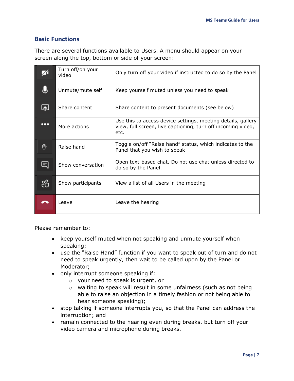## **Basic Functions**

There are several functions available to Users. A menu should appear on your screen along the top, bottom or side of your screen:

|                          | Turn off/on your<br>video | Only turn off your video if instructed to do so by the Panel                                                                         |
|--------------------------|---------------------------|--------------------------------------------------------------------------------------------------------------------------------------|
|                          | Unmute/mute self          | Keep yourself muted unless you need to speak                                                                                         |
| ⊡                        | Share content             | Share content to present documents (see below)                                                                                       |
| $\overline{\phantom{a}}$ | More actions              | Use this to access device settings, meeting details, gallery<br>view, full screen, live captioning, turn off incoming video,<br>etc. |
| 們                        | Raise hand                | Toggle on/off "Raise hand" status, which indicates to the<br>Panel that you wish to speak                                            |
| 티                        | Show conversation         | Open text-based chat. Do not use chat unless directed to<br>do so by the Panel.                                                      |
| දීරි                     | Show participants         | View a list of all Users in the meeting                                                                                              |
|                          | Leave                     | Leave the hearing                                                                                                                    |

Please remember to:

- keep yourself muted when not speaking and unmute yourself when speaking;
- use the "Raise Hand" function if you want to speak out of turn and do not need to speak urgently, then wait to be called upon by the Panel or Moderator;
- only interrupt someone speaking if:
	- o your need to speak is urgent, or
	- o waiting to speak will result in some unfairness (such as not being able to raise an objection in a timely fashion or not being able to hear someone speaking);
- stop talking if someone interrupts you, so that the Panel can address the interruption; and
- remain connected to the hearing even during breaks, but turn off your video camera and microphone during breaks.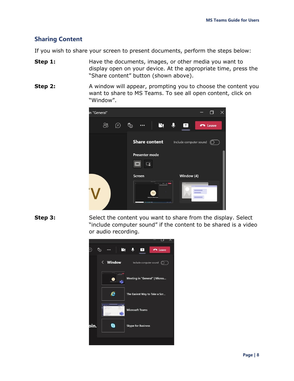## <span id="page-10-0"></span>**Sharing Content**

If you wish to share your screen to present documents, perform the steps below:

- **Step 1:** Have the documents, images, or other media you want to display open on your device. At the appropriate time, press the "Share content" button (shown above).
- **Step 2:** A window will appear, prompting you to choose the content you want to share to MS Teams. To see all open content, click on "Window".



**Step 3:** Select the content you want to share from the display. Select "include computer sound" if the content to be shared is a video or audio recording.